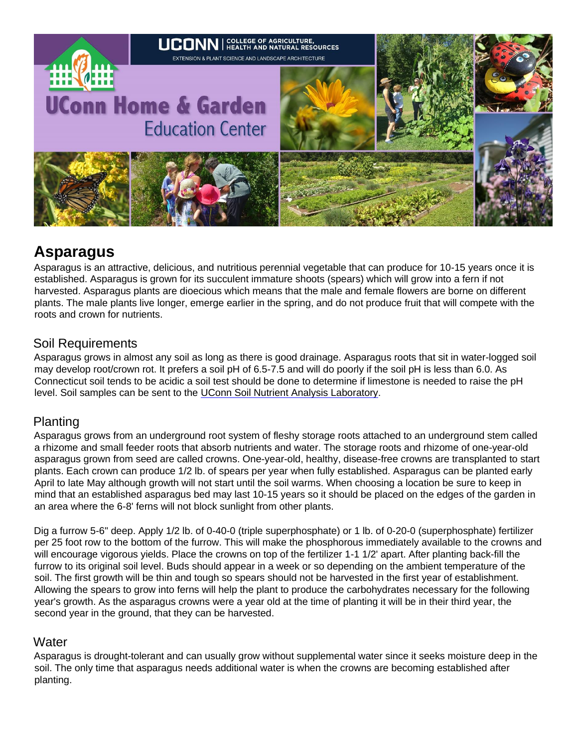

# **Asparagus**

Asparagus is an attractive, delicious, and nutritious perennial vegetable that can produce for 10-15 years once it is established. Asparagus is grown for its succulent immature shoots (spears) which will grow into a fern if not harvested. Asparagus plants are dioecious which means that the male and female flowers are borne on different plants. The male plants live longer, emerge earlier in the spring, and do not produce fruit that will compete with the roots and crown for nutrients.

# Soil Requirements

Asparagus grows in almost any soil as long as there is good drainage. Asparagus roots that sit in water-logged soil may develop root/crown rot. It prefers a soil pH of 6.5-7.5 and will do poorly if the soil pH is less than 6.0. As Connecticut soil tends to be acidic a soil test should be done to determine if limestone is needed to raise the pH level. Soil samples can be sent to the [UConn Soil Nutrient Analysis Laboratory.](http://www.cag.uconn.edu/plsc/soiltest/index.php)

# Planting

Asparagus grows from an underground root system of fleshy storage roots attached to an underground stem called a rhizome and small feeder roots that absorb nutrients and water. The storage roots and rhizome of one-year-old asparagus grown from seed are called crowns. One-year-old, healthy, disease-free crowns are transplanted to start plants. Each crown can produce 1/2 lb. of spears per year when fully established. Asparagus can be planted early April to late May although growth will not start until the soil warms. When choosing a location be sure to keep in mind that an established asparagus bed may last 10-15 years so it should be placed on the edges of the garden in an area where the 6-8' ferns will not block sunlight from other plants.

Dig a furrow 5-6" deep. Apply 1/2 lb. of 0-40-0 (triple superphosphate) or 1 lb. of 0-20-0 (superphosphate) fertilizer per 25 foot row to the bottom of the furrow. This will make the phosphorous immediately available to the crowns and will encourage vigorous yields. Place the crowns on top of the fertilizer 1-1 1/2' apart. After planting back-fill the furrow to its original soil level. Buds should appear in a week or so depending on the ambient temperature of the soil. The first growth will be thin and tough so spears should not be harvested in the first year of establishment. Allowing the spears to grow into ferns will help the plant to produce the carbohydrates necessary for the following year's growth. As the asparagus crowns were a year old at the time of planting it will be in their third year, the second year in the ground, that they can be harvested.

### **Water**

Asparagus is drought-tolerant and can usually grow without supplemental water since it seeks moisture deep in the soil. The only time that asparagus needs additional water is when the crowns are becoming established after planting.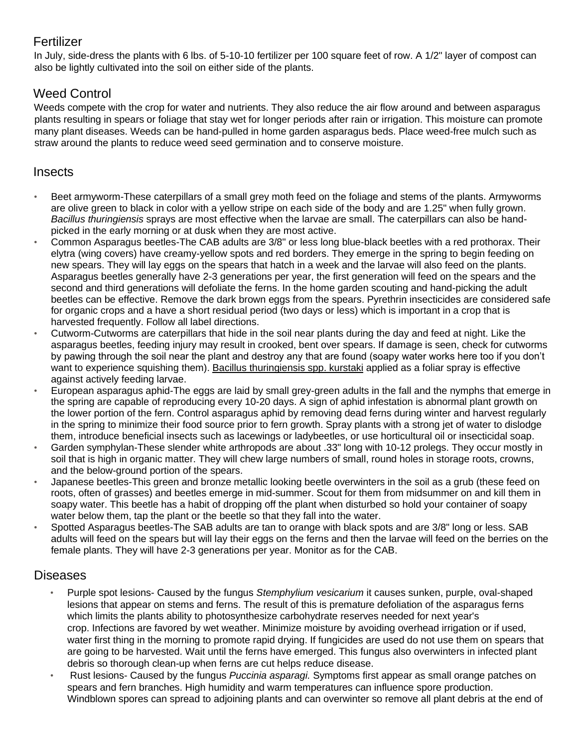# Fertilizer

In July, side-dress the plants with 6 lbs. of 5-10-10 fertilizer per 100 square feet of row. A 1/2" layer of compost can also be lightly cultivated into the soil on either side of the plants.

# Weed Control

Weeds compete with the crop for water and nutrients. They also reduce the air flow around and between asparagus plants resulting in spears or foliage that stay wet for longer periods after rain or irrigation. This moisture can promote many plant diseases. Weeds can be hand-pulled in home garden asparagus beds. Place weed-free mulch such as straw around the plants to reduce weed seed germination and to conserve moisture.

### **Insects**

- Beet armyworm-These caterpillars of a small grey moth feed on the foliage and stems of the plants. Armyworms are olive green to black in color with a yellow stripe on each side of the body and are 1.25" when fully grown. *Bacillus thuringiensis* sprays are most effective when the larvae are small. The caterpillars can also be handpicked in the early morning or at dusk when they are most active.
- Common Asparagus beetles-The CAB adults are 3/8" or less long blue-black beetles with a red prothorax. Their elytra (wing covers) have creamy-yellow spots and red borders. They emerge in the spring to begin feeding on new spears. They will lay eggs on the spears that hatch in a week and the larvae will also feed on the plants. Asparagus beetles generally have 2-3 generations per year, the first generation will feed on the spears and the second and third generations will defoliate the ferns. In the home garden scouting and hand-picking the adult beetles can be effective. Remove the dark brown eggs from the spears. Pyrethrin insecticides are considered safe for organic crops and a have a short residual period (two days or less) which is important in a crop that is harvested frequently. Follow all label directions.
- Cutworm-Cutworms are caterpillars that hide in the soil near plants during the day and feed at night. Like the asparagus beetles, feeding injury may result in crooked, bent over spears. If damage is seen, check for cutworms by pawing through the soil near the plant and destroy any that are found (soapy water works here too if you don't want to experience squishing them). [Bacillus thuringiensis spp. kurstaki](http://www.ladybug.uconn.edu/FactSheets/bacillus-thuringiensis.php) applied as a foliar spray is effective against actively feeding larvae.
- European asparagus aphid-The eggs are laid by small grey-green adults in the fall and the nymphs that emerge in the spring are capable of reproducing every 10-20 days. A sign of aphid infestation is abnormal plant growth on the lower portion of the fern. Control asparagus aphid by removing dead ferns during winter and harvest regularly in the spring to minimize their food source prior to fern growth. Spray plants with a strong jet of water to dislodge them, introduce beneficial insects such as lacewings or ladybeetles, or use horticultural oil or insecticidal soap.
- Garden symphylan-These slender white arthropods are about .33" long with 10-12 prolegs. They occur mostly in soil that is high in organic matter. They will chew large numbers of small, round holes in storage roots, crowns, and the below-ground portion of the spears.
- Japanese beetles-This green and bronze metallic looking beetle overwinters in the soil as a grub (these feed on roots, often of grasses) and beetles emerge in mid-summer. Scout for them from midsummer on and kill them in soapy water. This beetle has a habit of dropping off the plant when disturbed so hold your container of soapy water below them, tap the plant or the beetle so that they fall into the water.
- Spotted Asparagus beetles-The SAB adults are tan to orange with black spots and are 3/8" long or less. SAB adults will feed on the spears but will lay their eggs on the ferns and then the larvae will feed on the berries on the female plants. They will have 2-3 generations per year. Monitor as for the CAB.

### Diseases

- Purple spot lesions- Caused by the fungus *Stemphylium vesicarium* it causes sunken, purple, oval-shaped lesions that appear on stems and ferns. The result of this is premature defoliation of the asparagus ferns which limits the plants ability to photosynthesize carbohydrate reserves needed for next year's crop. Infections are favored by wet weather. Minimize moisture by avoiding overhead irrigation or if used, water first thing in the morning to promote rapid drying. If fungicides are used do not use them on spears that are going to be harvested. Wait until the ferns have emerged. This fungus also overwinters in infected plant debris so thorough clean-up when ferns are cut helps reduce disease.
- Rust lesions- Caused by the fungus *Puccinia asparagi.* Symptoms first appear as small orange patches on spears and fern branches. High humidity and warm temperatures can influence spore production. Windblown spores can spread to adjoining plants and can overwinter so remove all plant debris at the end of